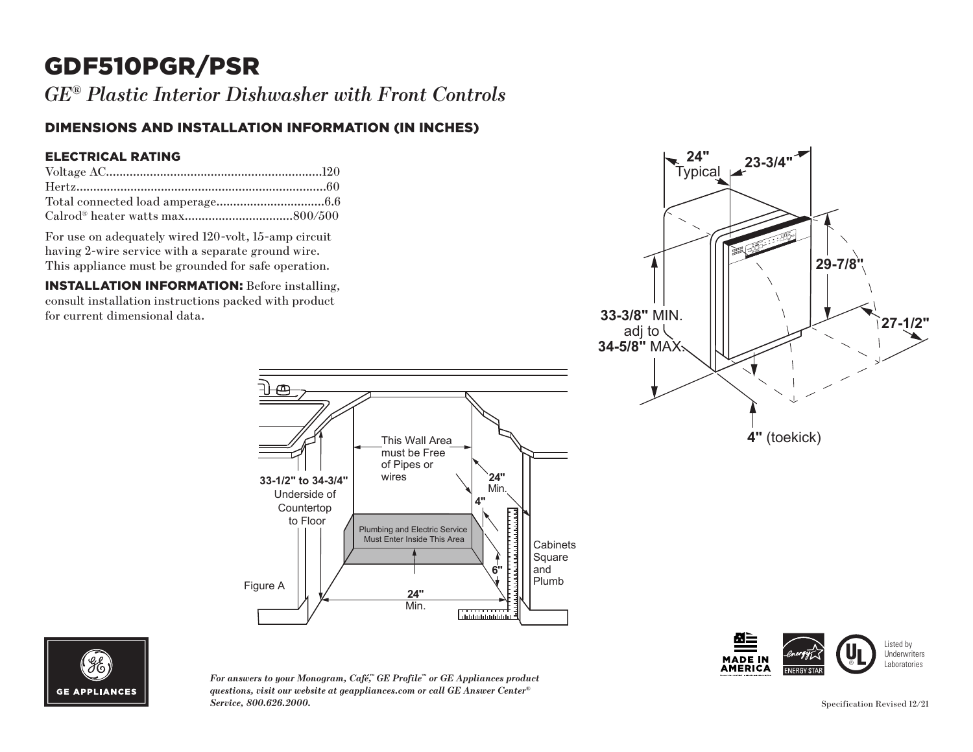# GDF510PGR/PSR

*GE® Plastic Interior Dishwasher with Front Controls*

### DIMENSIONS AND INSTALLATION INFORMATION (IN INCHES)

#### ELECTRICAL RATING

For use on adequately wired 120-volt, 15-amp circuit having 2-wire service with a separate ground wire. This appliance must be grounded for safe operation.

INSTALLATION INFORMATION: Before installing, consult installation instructions packed with product for current dimensional data.





*For answers to your Monogram, Café,™ GE Profile™ or GE Appliances product questions, visit our website at geappliances.com or call GE Answer Center® Service, 800.626.2000.*

Underside of Countertop to Floor

Figure A